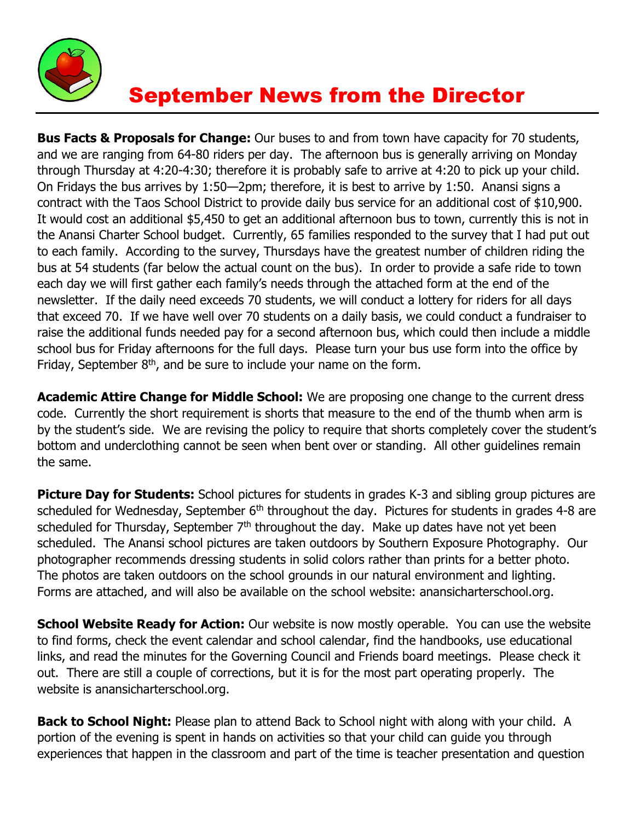

## September News from the Director

**Bus Facts & Proposals for Change:** Our buses to and from town have capacity for 70 students, and we are ranging from 64-80 riders per day. The afternoon bus is generally arriving on Monday through Thursday at 4:20-4:30; therefore it is probably safe to arrive at 4:20 to pick up your child. On Fridays the bus arrives by 1:50—2pm; therefore, it is best to arrive by 1:50. Anansi signs a contract with the Taos School District to provide daily bus service for an additional cost of \$10,900. It would cost an additional \$5,450 to get an additional afternoon bus to town, currently this is not in the Anansi Charter School budget. Currently, 65 families responded to the survey that I had put out to each family. According to the survey, Thursdays have the greatest number of children riding the bus at 54 students (far below the actual count on the bus). In order to provide a safe ride to town each day we will first gather each family's needs through the attached form at the end of the newsletter. If the daily need exceeds 70 students, we will conduct a lottery for riders for all days that exceed 70. If we have well over 70 students on a daily basis, we could conduct a fundraiser to raise the additional funds needed pay for a second afternoon bus, which could then include a middle school bus for Friday afternoons for the full days. Please turn your bus use form into the office by Friday, September  $8<sup>th</sup>$ , and be sure to include your name on the form.

**Academic Attire Change for Middle School:** We are proposing one change to the current dress code. Currently the short requirement is shorts that measure to the end of the thumb when arm is by the student's side. We are revising the policy to require that shorts completely cover the student's bottom and underclothing cannot be seen when bent over or standing. All other guidelines remain the same.

**Picture Day for Students:** School pictures for students in grades K-3 and sibling group pictures are scheduled for Wednesday, September  $6<sup>th</sup>$  throughout the day. Pictures for students in grades 4-8 are scheduled for Thursday, September  $7<sup>th</sup>$  throughout the day. Make up dates have not yet been scheduled. The Anansi school pictures are taken outdoors by Southern Exposure Photography. Our photographer recommends dressing students in solid colors rather than prints for a better photo. The photos are taken outdoors on the school grounds in our natural environment and lighting. Forms are attached, and will also be available on the school website: anansicharterschool.org.

**School Website Ready for Action:** Our website is now mostly operable. You can use the website to find forms, check the event calendar and school calendar, find the handbooks, use educational links, and read the minutes for the Governing Council and Friends board meetings. Please check it out. There are still a couple of corrections, but it is for the most part operating properly. The website is anansicharterschool.org.

**Back to School Night:** Please plan to attend Back to School night with along with your child. A portion of the evening is spent in hands on activities so that your child can guide you through experiences that happen in the classroom and part of the time is teacher presentation and question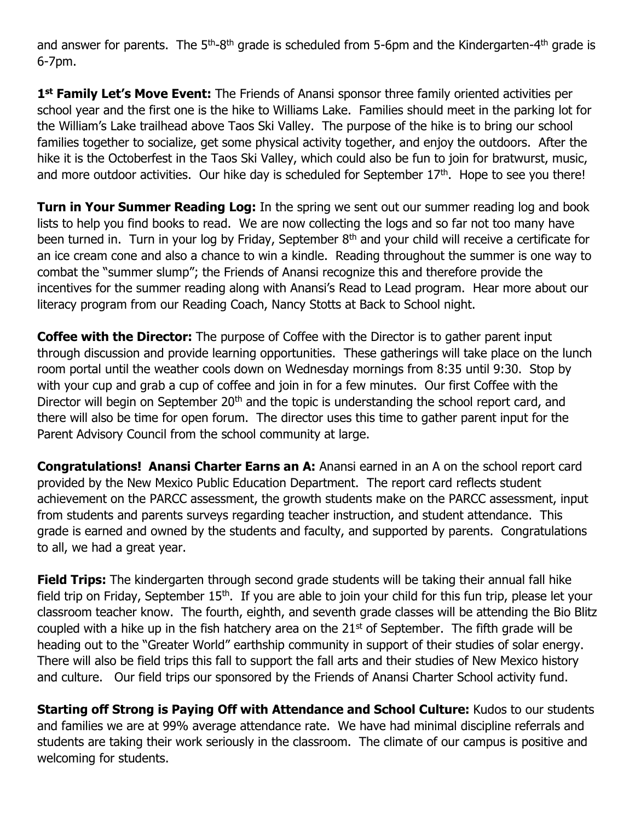and answer for parents. The  $5<sup>th</sup>-8<sup>th</sup>$  grade is scheduled from 5-6pm and the Kindergarten-4<sup>th</sup> grade is 6-7pm.

**1 st Family Let's Move Event:** The Friends of Anansi sponsor three family oriented activities per school year and the first one is the hike to Williams Lake. Families should meet in the parking lot for the William's Lake trailhead above Taos Ski Valley. The purpose of the hike is to bring our school families together to socialize, get some physical activity together, and enjoy the outdoors. After the hike it is the Octoberfest in the Taos Ski Valley, which could also be fun to join for bratwurst, music, and more outdoor activities. Our hike day is scheduled for September 17<sup>th</sup>. Hope to see you there!

**Turn in Your Summer Reading Log:** In the spring we sent out our summer reading log and book lists to help you find books to read. We are now collecting the logs and so far not too many have been turned in. Turn in your log by Friday, September 8<sup>th</sup> and your child will receive a certificate for an ice cream cone and also a chance to win a kindle. Reading throughout the summer is one way to combat the "summer slump"; the Friends of Anansi recognize this and therefore provide the incentives for the summer reading along with Anansi's Read to Lead program. Hear more about our literacy program from our Reading Coach, Nancy Stotts at Back to School night.

**Coffee with the Director:** The purpose of Coffee with the Director is to gather parent input through discussion and provide learning opportunities. These gatherings will take place on the lunch room portal until the weather cools down on Wednesday mornings from 8:35 until 9:30. Stop by with your cup and grab a cup of coffee and join in for a few minutes. Our first Coffee with the Director will begin on September 20<sup>th</sup> and the topic is understanding the school report card, and there will also be time for open forum. The director uses this time to gather parent input for the Parent Advisory Council from the school community at large.

**Congratulations! Anansi Charter Earns an A:** Anansi earned in an A on the school report card provided by the New Mexico Public Education Department. The report card reflects student achievement on the PARCC assessment, the growth students make on the PARCC assessment, input from students and parents surveys regarding teacher instruction, and student attendance. This grade is earned and owned by the students and faculty, and supported by parents. Congratulations to all, we had a great year.

**Field Trips:** The kindergarten through second grade students will be taking their annual fall hike field trip on Friday, September 15<sup>th</sup>. If you are able to join your child for this fun trip, please let your classroom teacher know. The fourth, eighth, and seventh grade classes will be attending the Bio Blitz coupled with a hike up in the fish hatchery area on the  $21<sup>st</sup>$  of September. The fifth grade will be heading out to the "Greater World" earthship community in support of their studies of solar energy. There will also be field trips this fall to support the fall arts and their studies of New Mexico history and culture. Our field trips our sponsored by the Friends of Anansi Charter School activity fund.

**Starting off Strong is Paying Off with Attendance and School Culture:** Kudos to our students and families we are at 99% average attendance rate. We have had minimal discipline referrals and students are taking their work seriously in the classroom. The climate of our campus is positive and welcoming for students.